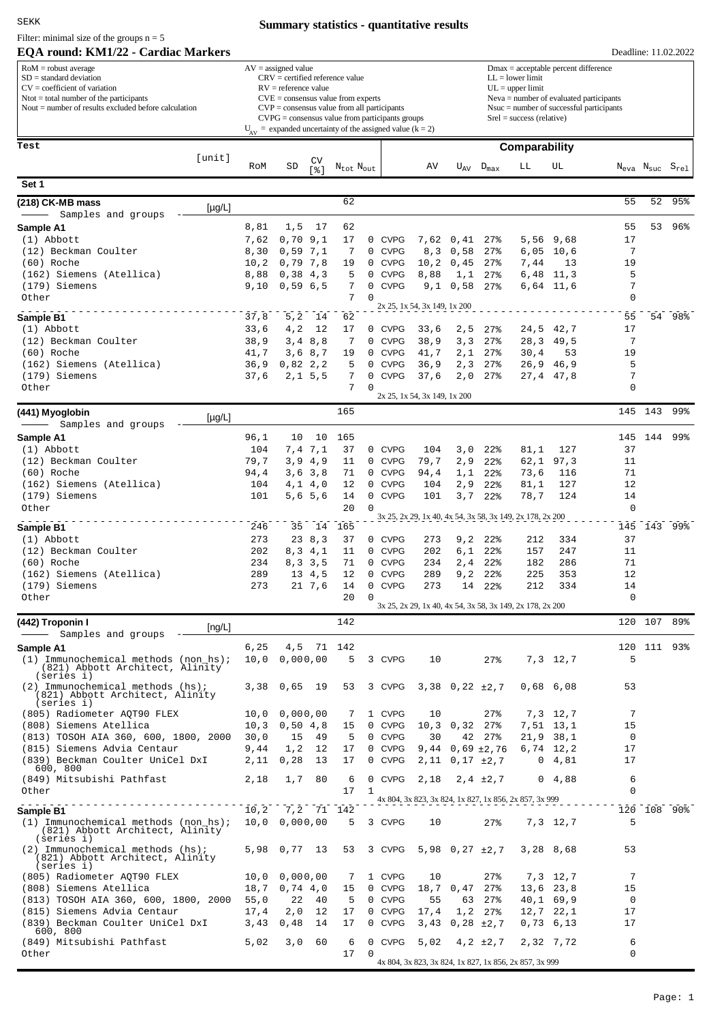SEKK

Filter: minimal size of the groups  $n = 5$ 

## **EQA round: KM1/22 - Cardiac Markers**

## **Summary statistics - quantitative results**

| EQA round: KM1/22 - Cardiac Markers                                                                                                                                                                         |               |                                                                                                                                                                                                                                                                                                                          |                                   |                                   |                   |                            |                                                           |                                                                                                                                                                                                               |                                     |               |                   |                   |         | Deadline: 11.02.2022                               |  |
|-------------------------------------------------------------------------------------------------------------------------------------------------------------------------------------------------------------|---------------|--------------------------------------------------------------------------------------------------------------------------------------------------------------------------------------------------------------------------------------------------------------------------------------------------------------------------|-----------------------------------|-----------------------------------|-------------------|----------------------------|-----------------------------------------------------------|---------------------------------------------------------------------------------------------------------------------------------------------------------------------------------------------------------------|-------------------------------------|---------------|-------------------|-------------------|---------|----------------------------------------------------|--|
| $RoM =$ robust average<br>$SD = standard deviation$<br>$CV = coefficient of variation$<br>$N\text{tot} = \text{total number of the participants}$<br>Nout $=$ number of results excluded before calculation |               | $AV = assigned value$<br>$CRV =$ certified reference value<br>$RV =$ reference value<br>$CVE = \text{consensus value from experts}$<br>$CVP = \text{consensus value from all participants}$<br>$CVPG = \text{consensus value from participants groups}$<br>$U_{av}$ = expanded uncertainty of the assigned value (k = 2) |                                   |                                   |                   |                            |                                                           | $Dmax = acceptable percent difference$<br>$LL =$ lower limit<br>$UL = upper limit$<br>$Neva = number of evaluated participants$<br>$N$ suc = number of successful participants<br>$Srel = success (relative)$ |                                     |               |                   |                   |         |                                                    |  |
| Test                                                                                                                                                                                                        |               |                                                                                                                                                                                                                                                                                                                          |                                   |                                   |                   |                            |                                                           |                                                                                                                                                                                                               |                                     | Comparability |                   |                   |         |                                                    |  |
| [unit]                                                                                                                                                                                                      | RoM           | SD                                                                                                                                                                                                                                                                                                                       | CV<br>$\lceil \frac{6}{3} \rceil$ | $N_{\text{tot}}$ $N_{\text{out}}$ |                   |                            | AV                                                        | $U_{AV}$                                                                                                                                                                                                      | $D_{\text{max}}$                    | LL            | UL                |                   |         | $N_{\text{eva}}$ $N_{\text{suc}}$ $S_{\text{rel}}$ |  |
| Set 1                                                                                                                                                                                                       |               |                                                                                                                                                                                                                                                                                                                          |                                   |                                   |                   |                            |                                                           |                                                                                                                                                                                                               |                                     |               |                   |                   |         |                                                    |  |
| (218) CK-MB mass<br>$[\mu$ g/L]                                                                                                                                                                             |               |                                                                                                                                                                                                                                                                                                                          |                                   | 62                                |                   |                            |                                                           |                                                                                                                                                                                                               |                                     |               |                   | 55                | 52      | 95%                                                |  |
| Samples and groups                                                                                                                                                                                          |               |                                                                                                                                                                                                                                                                                                                          |                                   |                                   |                   |                            |                                                           |                                                                                                                                                                                                               |                                     |               |                   |                   |         |                                                    |  |
| Sample A1<br>$(1)$ Abbott                                                                                                                                                                                   | 8,81<br>7,62  | 1, 5<br>0,70                                                                                                                                                                                                                                                                                                             | 17<br>9,1                         | 62<br>17                          |                   | 0 CVPG                     | 7,62                                                      | 0,41                                                                                                                                                                                                          | 27%                                 | 5,56          | 9,68              | 55<br>17          | 53      | 96%                                                |  |
| (12) Beckman Coulter                                                                                                                                                                                        | 8,30          | 0,59                                                                                                                                                                                                                                                                                                                     | 7,1                               | 7                                 | $\mathbf 0$       | <b>CVPG</b>                | 8, 3                                                      | 0,58                                                                                                                                                                                                          | 27%                                 | 6,05          | 10,6              | 7                 |         |                                                    |  |
| (60) Roche                                                                                                                                                                                                  | 10, 2         | 0,79,7,8                                                                                                                                                                                                                                                                                                                 |                                   | 19                                | $\mathbf{0}$      | <b>CVPG</b>                | 10, 2                                                     | 0,45                                                                                                                                                                                                          | 27%                                 | 7,44          | 13                | 19                |         |                                                    |  |
| (162) Siemens (Atellica)                                                                                                                                                                                    | 8,88          | 0,38,4,3                                                                                                                                                                                                                                                                                                                 |                                   | 5                                 | 0                 | <b>CVPG</b>                | 8,88                                                      | 1,1                                                                                                                                                                                                           | 27%                                 | 6,48          | 11,3              | 5                 |         |                                                    |  |
| (179) Siemens<br>Other                                                                                                                                                                                      | 9,10          | 0,59,6,5                                                                                                                                                                                                                                                                                                                 |                                   | 7<br>7                            | 0<br>0            | <b>CVPG</b>                |                                                           | $9,1$ 0,58                                                                                                                                                                                                    | 27%                                 |               | 6,64 11,6         | 7<br>$\mathbf 0$  |         |                                                    |  |
|                                                                                                                                                                                                             |               |                                                                                                                                                                                                                                                                                                                          |                                   |                                   |                   |                            | 2x 25, 1x 54, 3x 149, 1x 200                              |                                                                                                                                                                                                               |                                     |               |                   |                   |         |                                                    |  |
| Sample B1                                                                                                                                                                                                   | 37,8          | 5, 2                                                                                                                                                                                                                                                                                                                     | 14                                | 62                                |                   |                            |                                                           |                                                                                                                                                                                                               |                                     |               |                   | 55                |         | 54 98%                                             |  |
| $(1)$ Abbott<br>(12) Beckman Coulter                                                                                                                                                                        | 33,6<br>38,9  | 4, 2                                                                                                                                                                                                                                                                                                                     | 12<br>3, 4, 8, 8                  | 17<br>7                           | 0                 | 0 CVPG<br><b>CVPG</b>      | 33,6<br>38,9                                              | 2, 5<br>3, 3                                                                                                                                                                                                  | 27%<br>27%                          | 24,5<br>28,3  | 42,7<br>49,5      | 17<br>7           |         |                                                    |  |
| (60) Roche                                                                                                                                                                                                  | 41,7          |                                                                                                                                                                                                                                                                                                                          | 3,68,7                            | 19                                | 0                 | <b>CVPG</b>                | 41,7                                                      | 2,1                                                                                                                                                                                                           | 27%                                 | 30, 4         | 53                | 19                |         |                                                    |  |
| (162) Siemens (Atellica)                                                                                                                                                                                    | 36, 9         | 0,82,2,2                                                                                                                                                                                                                                                                                                                 |                                   | 5                                 | 0                 | <b>CVPG</b>                | 36, 9                                                     | 2, 3                                                                                                                                                                                                          | 27%                                 | 26,9          | 46,9              | 5                 |         |                                                    |  |
| (179) Siemens                                                                                                                                                                                               | 37,6          |                                                                                                                                                                                                                                                                                                                          | 2, 1, 5, 5                        | 7                                 | 0                 | <b>CVPG</b>                | 37,6                                                      | 2,0                                                                                                                                                                                                           | 27%                                 |               | 27,4 47,8         | 7                 |         |                                                    |  |
| Other                                                                                                                                                                                                       |               |                                                                                                                                                                                                                                                                                                                          |                                   | 7                                 | $\mathbf 0$       |                            | 2x 25, 1x 54, 3x 149, 1x 200                              |                                                                                                                                                                                                               |                                     |               |                   | 0                 |         |                                                    |  |
| (441) Myoglobin<br>$[\mu g/L]$                                                                                                                                                                              |               |                                                                                                                                                                                                                                                                                                                          |                                   | 165                               |                   |                            |                                                           |                                                                                                                                                                                                               |                                     |               |                   | 145               | 143     | 99%                                                |  |
| Samples and groups<br>Sample A1                                                                                                                                                                             | 96,1          | 10                                                                                                                                                                                                                                                                                                                       | 10                                | 165                               |                   |                            |                                                           |                                                                                                                                                                                                               |                                     |               |                   | 145               | 144     | 99%                                                |  |
| $(1)$ Abbott                                                                                                                                                                                                | 104           | 7,4 7,1                                                                                                                                                                                                                                                                                                                  |                                   | 37                                |                   | 0 CVPG                     | 104                                                       | 3,0                                                                                                                                                                                                           | $22$ <sup>8</sup>                   | 81,1          | 127               | 37                |         |                                                    |  |
| (12) Beckman Coulter                                                                                                                                                                                        | 79,7          | 3,9                                                                                                                                                                                                                                                                                                                      | 4,9                               | 11                                |                   | 0 CVPG                     | 79,7                                                      | 2,9                                                                                                                                                                                                           | $22$ <sup>8</sup>                   | 62,1          | 97,3              | 11                |         |                                                    |  |
| (60) Roche                                                                                                                                                                                                  | 94,4          |                                                                                                                                                                                                                                                                                                                          | 3,6,3,8                           | 71                                | 0                 | <b>CVPG</b>                | 94,4                                                      | 1,1                                                                                                                                                                                                           | 22%                                 | 73,6          | 116               | 71                |         |                                                    |  |
| (162) Siemens (Atellica)<br>(179) Siemens                                                                                                                                                                   | 104<br>101    |                                                                                                                                                                                                                                                                                                                          | $4,1$ $4,0$<br>$5,6\quad5,6$      | 12<br>14                          | 0<br>0            | <b>CVPG</b><br><b>CVPG</b> | 104<br>101                                                | 2,9<br>3,7                                                                                                                                                                                                    | $22$ <sup>8</sup><br>22%            | 81,1<br>78,7  | 127<br>124        | 12<br>14          |         |                                                    |  |
| Other                                                                                                                                                                                                       |               |                                                                                                                                                                                                                                                                                                                          |                                   | 20                                | 0                 |                            |                                                           |                                                                                                                                                                                                               |                                     |               |                   | 0                 |         |                                                    |  |
|                                                                                                                                                                                                             | 246           | 35                                                                                                                                                                                                                                                                                                                       | 14                                | 165                               |                   |                            | 3x 25, 2x 29, 1x 40, 4x 54, 3x 58, 3x 149, 2x 178, 2x 200 |                                                                                                                                                                                                               |                                     |               |                   | 145               |         | 143 99%                                            |  |
| Sample B1<br>$(1)$ Abbott                                                                                                                                                                                   | 273           |                                                                                                                                                                                                                                                                                                                          | 238,3                             | 37                                |                   | 0 CVPG                     | 273                                                       | 9,2                                                                                                                                                                                                           | $22\%$                              | 212           | 334               | 37                |         |                                                    |  |
| (12) Beckman Coulter                                                                                                                                                                                        | 202           |                                                                                                                                                                                                                                                                                                                          | 8, 3, 4, 1                        | 11                                | 0                 | <b>CVPG</b>                | 202                                                       | 6,1                                                                                                                                                                                                           | $22$ <sup>8</sup>                   | 157           | 247               | 11                |         |                                                    |  |
| (60) Roche                                                                                                                                                                                                  | 234           |                                                                                                                                                                                                                                                                                                                          | 8, 3, 3, 5                        | 71                                | 0                 | <b>CVPG</b>                | 234                                                       | 2,4                                                                                                                                                                                                           | 22%                                 | 182           | 286               | 71                |         |                                                    |  |
| (162) Siemens (Atellica)                                                                                                                                                                                    | 289           |                                                                                                                                                                                                                                                                                                                          | 13, 4, 5                          | 12                                | 0                 | <b>CVPG</b>                | 289                                                       | 9,2                                                                                                                                                                                                           | $22$ <sup>8</sup>                   | 225           | 353               | 12                |         |                                                    |  |
| (179) Siemens<br>Other                                                                                                                                                                                      | 273           |                                                                                                                                                                                                                                                                                                                          | 21, 7, 6                          | 14<br>20                          | $\mathbf 0$<br>0  | <b>CVPG</b>                | 273                                                       | 14                                                                                                                                                                                                            | $22$ %                              | 212           | 334               | 14<br>0           |         |                                                    |  |
|                                                                                                                                                                                                             |               |                                                                                                                                                                                                                                                                                                                          |                                   |                                   |                   |                            | 3x 25, 2x 29, 1x 40, 4x 54, 3x 58, 3x 149, 2x 178, 2x 200 |                                                                                                                                                                                                               |                                     |               |                   |                   |         |                                                    |  |
| (442) Troponin I<br>[ng/L]<br>Samples and groups                                                                                                                                                            |               |                                                                                                                                                                                                                                                                                                                          |                                   | 142                               |                   |                            |                                                           |                                                                                                                                                                                                               |                                     |               |                   |                   | 120 107 | 89%                                                |  |
| Sample A1                                                                                                                                                                                                   | 6,25          | 4,5                                                                                                                                                                                                                                                                                                                      | 71                                | 142                               |                   |                            |                                                           |                                                                                                                                                                                                               |                                     |               |                   | 120               | 111     | 93%                                                |  |
| $(1)$ Immunochemical methods (non hs);<br>(821) Abbott Architect, Alinity<br>(series i)                                                                                                                     | 10,0          | 0,000,00                                                                                                                                                                                                                                                                                                                 |                                   | 5                                 |                   | 3 CVPG                     | 10                                                        |                                                                                                                                                                                                               | 27%                                 |               | 7,3 12,7          | 5                 |         |                                                    |  |
| $(2)$ Immunochemical methods $(hs)$ ;<br>(821) Abbott Architect, Alinity<br>(series i)                                                                                                                      | 3,38          | 0,65                                                                                                                                                                                                                                                                                                                     | 19                                | 53                                |                   | 3 CVPG                     |                                                           | $3,38$ 0,22 $\pm 2,7$                                                                                                                                                                                         |                                     |               | $0,68$ 6,08       | 53                |         |                                                    |  |
| (805) Radiometer AQT90 FLEX                                                                                                                                                                                 | 10,0          | 0,000,00                                                                                                                                                                                                                                                                                                                 |                                   | 7                                 |                   | 1 CVPG                     | 10                                                        |                                                                                                                                                                                                               | $27$ $\ast$                         |               | 7,3 12,7          | 7                 |         |                                                    |  |
| (808) Siemens Atellica<br>(813) TOSOH AIA 360, 600, 1800, 2000                                                                                                                                              | 10, 3<br>30,0 | 0,50,4,8<br>15                                                                                                                                                                                                                                                                                                           |                                   | 15<br>5                           |                   | 0 CVPG<br>0 CVPG           | 30                                                        | $10,3$ 0,32 27%<br>42                                                                                                                                                                                         |                                     |               | 7,51 13,1         | 15<br>$\mathbf 0$ |         |                                                    |  |
| (815) Siemens Advia Centaur                                                                                                                                                                                 | 9,44          | 1,2                                                                                                                                                                                                                                                                                                                      | 49<br>12                          | 17                                |                   | 0 CVPG                     | 9,44                                                      |                                                                                                                                                                                                               | $27$ $8$<br>$0,69 \pm 2,76$         | 21,9          | 38,1<br>6,74 12,2 | 17                |         |                                                    |  |
| (839) Beckman Coulter UniCel DxI                                                                                                                                                                            | 2,11          | 0,28                                                                                                                                                                                                                                                                                                                     | 13                                | 17                                | $\mathbf{0}$      | <b>CVPG</b>                | 2,11                                                      |                                                                                                                                                                                                               | $0,17 \pm 2,7$                      | 0             | 4,81              | 17                |         |                                                    |  |
| 600, 800<br>(849) Mitsubishi Pathfast                                                                                                                                                                       | 2,18          | 1,7                                                                                                                                                                                                                                                                                                                      | 80                                | 6                                 | 0                 | <b>CVPG</b>                | 2,18                                                      |                                                                                                                                                                                                               | $2, 4 \pm 2, 7$                     |               | $0 \quad 4,88$    | 6                 |         |                                                    |  |
| Other                                                                                                                                                                                                       |               |                                                                                                                                                                                                                                                                                                                          |                                   | 17                                | 1                 |                            |                                                           |                                                                                                                                                                                                               |                                     |               |                   | 0                 |         |                                                    |  |
| Sample B1                                                                                                                                                                                                   | 10, 2         |                                                                                                                                                                                                                                                                                                                          |                                   | 7,2 71 142                        |                   |                            | 4x 804, 3x 823, 3x 824, 1x 827, 1x 856, 2x 857, 3x 999    |                                                                                                                                                                                                               |                                     |               |                   |                   |         | 120 108 90%                                        |  |
| $(1)$ Immunochemical methods (non_hs);<br>(821) Abbott Architect, Alinity                                                                                                                                   | 10,0          | 0,000,00                                                                                                                                                                                                                                                                                                                 |                                   | 5                                 |                   | 3 CVPG                     | 10                                                        |                                                                                                                                                                                                               | $27$ $\ast$                         |               | 7,3 12,7          | 5                 |         |                                                    |  |
| (series i)<br>$(2)$ Immunochemical methods $(hs)$ ;<br>(821) Abbott Architect, Alinity                                                                                                                      | 5,98          | 0,77                                                                                                                                                                                                                                                                                                                     | - 13                              | 53                                |                   | 3 CVPG                     |                                                           | $5,98$ 0,27 $\pm 2,7$                                                                                                                                                                                         |                                     |               | 3,28 8,68         | 53                |         |                                                    |  |
| (series i)<br>(805) Radiometer AQT90 FLEX                                                                                                                                                                   | 10,0          | 0,000,00                                                                                                                                                                                                                                                                                                                 |                                   | 7                                 |                   | 1 CVPG                     | 10                                                        |                                                                                                                                                                                                               | 27%                                 |               | 7,3 12,7          | 7                 |         |                                                    |  |
| (808) Siemens Atellica                                                                                                                                                                                      | 18,7          | 0,74,4,0                                                                                                                                                                                                                                                                                                                 |                                   | 15                                |                   | 0 CVPG                     | 18,7                                                      | 0,47                                                                                                                                                                                                          | $27$ °                              |               | 13,6 23,8         | 15                |         |                                                    |  |
| (813) TOSOH AIA 360, 600, 1800, 2000                                                                                                                                                                        | 55,0          | 22                                                                                                                                                                                                                                                                                                                       | 40                                | 5                                 | $\mathbf{0}$      | <b>CVPG</b>                | 55                                                        | 63                                                                                                                                                                                                            | 27%                                 | 40,1          | 69,9              | 0                 |         |                                                    |  |
| (815) Siemens Advia Centaur<br>(839) Beckman Coulter UniCel DxI                                                                                                                                             | 17,4<br>3,43  | 2,0<br>0,48                                                                                                                                                                                                                                                                                                              | 12<br>14                          | 17<br>17                          | 0<br>$\mathbf{0}$ | <b>CVPG</b><br><b>CVPG</b> | 17,4<br>3,43                                              | 1,2                                                                                                                                                                                                           | $27$ <sup>8</sup><br>$0,28 \pm 2,7$ | 12,7          | 22,1<br>0,73,6,13 | 17<br>17          |         |                                                    |  |
| 600, 800                                                                                                                                                                                                    |               |                                                                                                                                                                                                                                                                                                                          |                                   |                                   |                   |                            |                                                           |                                                                                                                                                                                                               |                                     |               |                   |                   |         |                                                    |  |
| (849) Mitsubishi Pathfast<br>Other                                                                                                                                                                          | 5,02          | 3,0                                                                                                                                                                                                                                                                                                                      | 60                                | 6<br>17                           | 0<br>0            | <b>CVPG</b>                | 5,02                                                      |                                                                                                                                                                                                               | $4, 2 \pm 2, 7$                     |               | 2,32 7,72         | 6<br>$\mathbf 0$  |         |                                                    |  |
|                                                                                                                                                                                                             |               |                                                                                                                                                                                                                                                                                                                          |                                   |                                   |                   |                            | 4x 804, 3x 823, 3x 824, 1x 827, 1x 856, 2x 857, 3x 999    |                                                                                                                                                                                                               |                                     |               |                   |                   |         |                                                    |  |